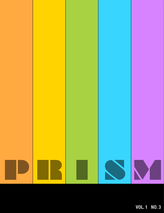

**VOL. 1 NO. 3**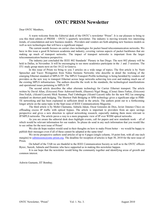# **ONTC PRISM Newsletter**

Dear ONTC Members,

A warm welcome from the Editorial desk of the ONTC's newsletter "Prism". It is our pleasure to bring to you this third edition of PRISM – ONTC's quarterly newsletter. The industry is moving towards two interesting trends, of consolidation and new business models. Providers and vendors are both adopting new business models as well as new technologies that will have a significant impact

The current month focuses on carrier class technologies for packet based telecommunication networks. We have in this issue a good fit between academia and industry, covering various aspects of packet backbones that are making up much of transport networks. The impact of transport networks is important from the larger telecommunication business perspective.

The industry just concluded the IEEE 802 Standards' Plenary in San Diego. The next 802 plenary will be held in Dallas, in November. It will be encouraging to see more academics participate in the .1 and .3 sessions. The ITU study group meets next on Oct 18-22 in Geneva.

In this issue of Prism we bring to you 3 articles on a wide range of topics. The first article is by Nurit Spreecher and Yacov Weingarten from Nokia Siemens Networks who describe in detail the working of the emerging Ethernet standard of MPLS-TP. The MPLS Transport Profile technology is being heralded by vendors and providers as the new way to transport Ethernet across large networks achieving low-cost and making much use of the existing MPLS infrastructure. The authors describe the work in the standards, the technological manifestations and operational issues pertaining to MPLS-TP

The second article describes the other alternate technology for Carrier Ethernet transport. The article written by David Allan, (Ericcson) Peter Ashwood-Smith, (Huawei) Nigel Bragg, (Ciena) János Farkas, (Ericcson) Don Fedyk, (Alcatel-Lucent) Mick Seaman, Paul Unbehagen (Alcatel-Lucent) talks for the new 802.1as emerging standard on shortest path bridging. The Shortest Path Bridging or SPB technology gives a significant edge to PBB-TE networking and has been explained in sufficient detail in the article. The authors point out to a forthcoming longer article on the same topic in the Sept issue of IEEE Communications Magazine.

The third article is by Mohit Chamania, Admela Jukan, Oscar Gonzales de Dios, Javier Jimenez Chico on offloading excess IP traffic with optical bypass. The article is important to providers from an opex savings perspective and gives a new direction to optical networking research, especially making them more relevant to IP/MPLS networks. The article paves a way to a more pragmatic view of IP over WDM optical networks.

As you are aware the editorial desk does highlight events, call for papers and new standards work – all of which would be relevant information for our readers. So please do send in any such information that you would like to see online for the next issue of Prism!

We also do hope readers would send in their thoughts on how to make Prism better – we would be happy to publish their messages even if all of these cannot be adopted at the same time!

We invite prospective authors send articles of up to 4 pages (single column, 10 point font, with all one-inch margins) to [submissions@ontc-prism.org.](mailto:submissions@ontc-prism.org) The deadline for reception of articles is Sept 30, 2010 for the next issue of Prism.

On behalf of the TAB we are thankful to the IEEE Communication Society as well as to the ONTC officers Byrav, Suresh, Admela and Dominic who have supported us in making this newsletter happen.

It is our hope that the newsletter would bring the community together and identifying areas of growth and common interest.

Ashwin Gumaste, IIT Bombay.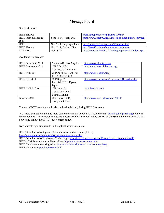### **Message Board**

#### Standardization:

| <b>IEEE SIEPON</b>          |                          | http://grouper.ieee.org/groups/1904/1/                |
|-----------------------------|--------------------------|-------------------------------------------------------|
| <b>IEEE</b> Interim Meeting | Sept 13-16, York, UK     | http://www.ieee802.org/1/meetings/index.html#sep10gen |
| (802)                       |                          |                                                       |
| <b>IETF</b>                 | Nov 7-11, Beiging, China | http://www.ietf.org/meeting/79/index.html             |
| <b>IEEE</b> Plenary         | Nov 7-11, Dallas, USA    | http://ieee802.facetoface-events.com/future           |
| ITU SG15                    | Oct 18-22                | http://www.itu.int/ITU-T/studygroups/com15/index.asp  |

Academic Conferences

| IEEE/OSA OFC 2011     | March 6-10. Los Angeles | http://www.ofcnfoec.org/                       |
|-----------------------|-------------------------|------------------------------------------------|
| IEEE Globecom 2010    | CFP March 31            | http://www.ieee-globecom.org/                  |
|                       | Conf Dec 6-10. Miami    |                                                |
| IEEE LCN 2010         | CFP April 12. Conf Oct  | http://www.ieeelcn.org/                        |
|                       | 11-14 Denver, CO.       |                                                |
| IEEE ICC 2011         | CFP Sept. 7:            | http://www.comsoc.org/confs/icc/2011/index.php |
|                       | June 5-9, 2011, Kyoto,  |                                                |
|                       | Japan.                  |                                                |
| <b>IEEE ANTS 2010</b> | CFP July 15:            | www.ieee-ants.org                              |
|                       | Conf: Dec 15-17,        |                                                |
|                       | Bombay, India           |                                                |
| Infocom 2011          | Conf April 10-15,       | http://www.ieee-infocom.org/2011/              |
|                       | Shanghai, China.        |                                                |

The next ONTC meeting would also be held in Miami, during IEEE Globecom.

We would be happy to include more conferences in the above list, if readers email [editor@ontc-prism.org](mailto:editor@ontc-prism.org) a CFP of the conference. The conference must be at least technically supported by ONTC or ComSoc to be included in the list above and follow the ONTC endorsement policy.

Key journals reporting results in the optical networking area:

IEEE/OSA Journal of Optical Communication and networks (JOCN)

<http://www.opticsinfobase.org/jocn/journal/jon/author.cfm>

IEEE/OSA Journal of Lightwave Technology:<http://ieeexplore.ieee.org/xpl/RecentIssue.jsp?punumber=50>

IEEE/ACM Transactions on Networking:<http://www.ton.seas.upenn.edu/>

IEEE Communications Magazine:<http://mc.manuscriptcentral.com/commag-ieee>

IEEE Network:<http://dl.comsoc.org/ni/>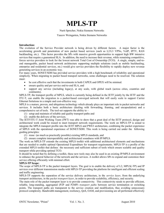# **MPLS-TP**

Nurit Sprecher, Nokia Siemens Networks

Yaacov Weingarten, Nokia Siemens Networks

#### **Introduction:**

The evolution of the Service Provider network is being driven by different factors. A major factor is the accelerating growth and penetration of new packet based services (such as L2/L3 VPNs, VoIP, IPTV, RAN backhauling, etc.). This factor provides the SPs with massive growth opportunities to support high BW intensive services that require a guaranteed SLA. In addition, the need to increase their revenue, while remaining competitive, forces service providers to look for the lowest network Total Cost of Ownership (TCO). A single, simple, end-toend manageable, packet based network architecture supporting multiple solutions (such as mobile backhauling, enterprise and residential services, etc.) would give service providers the flexibility to rapidly deploy new revenue generating services in an economic way.

For many years, SONET/SDH has provided service providers with a high benchmark of reliability and operational simplicity. When migrating to packet based transport networks, some challenges need to be resolved. The solution must:

- be cost effective such that the investments in both CAPEX and OPEX will be minimal.
- ensure quality and per service end-to-end SLA, and
- support any service (including legacy), at any scale, with global reach (across cities, countries and continents).

MPLS-TP, the transport profile of MPLS, which is currently being defined in the IETF jointly by the IETF and the ITU-T, can enable the migration to a packet-based converged network that will easily scale to support Carrier Ethernet Solutions in a simple and cost-effective way.

MPLS is a mature, proven, and ubiquitous technology which already plays an important role in packet networks and services. It includes both a basic architecture (dealing with forwarding, framing, and encapsulation) and a comprehensive set of tools. The tool-set supports the ability to –

- (1) setup and maintain of reliable and quality transport paths and
- (2) enable the delivery of the services.

The IETF/ITU-T Joint Working Team (JWT) was able to show that a great deal of the IETF protocol, design and architectural work could be reused to meet transport network requirements. The work on MPLS-TP is aimed to integrate the MPLS transport profile into the IETF MPLS and PWE3 architecture, combining the packet experience of MPLS with the operational experience of SONET/SDH. This work is being carried out under the following guiding principles:

- (1) reuse (as much as practically possible) existing MPLS standards, and
- (2) ensure complete interoperability and architectural soundness with IP/MPLS.

The work on MPLS-TP extends the existing MPLS toolkit with additional architectural elements and mechanisms that are needed to enable optimal Operational Expenditure for transport requirements. MPLS-TP is a profile of the extended MPLS toolkit that defines the necessary and sufficient subset of tools which ensure scalable and quality transport while providing optimal TCO.

It should be noted that by defining a toolkit, these new tools may also be used in an existing IP/MPLS environment to enhance the general behavior of the network and the services. A toolkit allows SPs to expand and customize their service offering efficiently with minimal effort.

#### **MPLS-TP Scope:**

The scope of MPLS-TP is the packet transport layers. The goal is to enable the delivery of L2, MPLS(-TP) and IP services over different transmission media with MPLS-TP providing the platform for intelligent and efficient scaling and traffic engineering.

MPLS-TP supports the separation of the service delivery architecture, in the *service layer*, from the underlying transport architecture, in the *packet transport layer*, in order to provide scalability, efficiency, and security.

The main role of the packet transport layer is to provide connectivity. This connectivity needs to provide efficient, reliable, long-standing, aggregated (P2P and P2MP) *transport paths* between service termination or switching points. The transport paths are transparent to the service creation and modification, thus avoiding unnecessary protocol complexity. Bandwidth management, resiliency, QoS, OAM, and provisioning are all performed effectively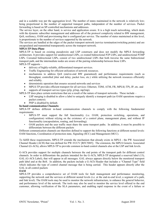and in a scalable way per the aggregation level. The number of states maintained in the network is relatively low; being proportional to the number of supported transport paths, independent of the number of services. Packet forwarding is based on SP-controlled mechanisms and addresses.

The service layer, on the other hand, is service and application aware. It is a high touch networking, which deals with the dynamic subscriber management and addresses all of the protocol complexity related to BW management, QoS, resiliency, OAM and provisioning that is configured per service. The number of states maintained at this level, is proportionate to the number of services supported by the network.

The services are handled at the edges of the packet transport network (service termination/switching points) and are encapsulated and transmitted transparently across the transport network.

#### **MPLS-TP Data-Plane**

MPLS-TP is based on existing pseudowire and LSP constructs and does not modify the MPLS forwarding architecture. It provides support for unidirectional LSPs, co-routed bidirectional P2P LSPs, and unidirectional P2MP LSPs. Corouted bidirectional LSPs, consist of two unidirectional LSPs that both traverse the same bidirectional transport path, and the intermediate nodes are aware of the pairing relationship between these LSPs.

MPLS-TP supports –

- delivery of highly-reliable, differentiated transport services.
- Traffic Engineering for efficient utilization of network resources.
- mechanisms to address QoS (end-to-end BW guaranteed) and performance requirements (such as throughput, controlled jitter and delay, packet loss, etc.) while utilizing the network resources efficiently and reliably.
- deterministic operation that ensures secured networks and services
- MPLS-TP provides efficient transport for all services: Ethernet, TDM, ATM, FR, MPLS(-TP), IP, etc. and supports all transport service types (p2p, p2mp, mp2mp).

MPLS-TP does place certain restrictions that are a result of the nature of transport networks. These include –

- LSP merging is disabled to allow a label to uniquely identify a transport path (as OAM operations require a packet context).
- PHP is disabled by default.

#### **In-band communication Channels:**

MPLS-TP defines different in-band communication channels to comply with the following fundamental requirements:

- MPLS-TP must support the full functionality (i.e. OAM, protection switching, operations, and configuration) without relying on the existence of a control plane, management plane, and without IP functionality (encapsulation, routing, and forwarding).
- OAM packets and the user traffic must share the same transport paths. In addition, it must be possible to differentiate between the different packets

Different communication channels are therefore defined to support the following functions at different nested levels: OAM functions, Coordination of protection state, Signaling (SCC) and Management (MCC).

To fulfill these requirements, MPLS-TP extends the mechanism that already exists in MPLS - the PW Associated Channel Header (ACH) that was defined for PW-VCCV [RFC5085]. The extension, the MPLS Generic Associated Channel (G-ACh), allows MPLS-TP to provide common in-band control channels also at the LSP and link levels.

G-ACh provides support for multiple channels between the end points of the transport path for different control channels. In order to differentiate the packets intended for the G-ACh, MPLS-TP designated a reserved label (13), GAL (G-ACh Label), that will appear in all messages. GAL always appears directly below the monitored transport path label and at the BoS. In addition, the packets include a G-ACh Header that includes a "Channel Type" field which indicates the type of control channel message that is being carried. This header appears directly after the GAL in all control packets

#### **OAM**

MPLS-TP provides a comprehensive set of OAM tools for fault management and performance monitoring, supporting the network and the services at different nested levels (i.e. at the end-to-end level, a segment of a path, and link level). The OAM tools may be used to monitor the network infrastructure, to enhance the general behavior, and performance level of the network. The tools may also be used to monitor the service level offered to the end customer, allowing verification of the SLA parameters, and enabling rapid response in the event of a failure or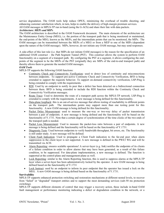service degradation. The OAM tools help reduce OPEX, minimizing the overhead of trouble shooting, and enhancing customer satisfaction which, in turn, helps to enable the delivery of high-margin premium services. All OAM messages in MPLS-TP run in-band (using the G-ACh) and share their fate with data packets.

#### *Architecture: MEPs and MIPs*

The OAM architecture is described in the OAM Framework document. The main elements of the architecture are the Maintenance Entity Group (MEG), i.e. the portion of the transport path that is being monitored or maintained, the end-points of the MEG, known as the MEPs, and the intermediate points that can be monitored, the MIPs. The OAM messages can be transmitted between the MEPs of a MEG or from a MEP to one of the MIPs (dependent upon the nature of the OAM message). MIPs, however, do not initiate any OAM message, but may send responses.

A side-effect of this last rule (i.e. that MIPs do not initiate OAM messages) is the reason for the specification of an additional OAM construct – the Path Segment Tunnel (PST). This construct allows the system to perform OAM functionality on a segment of a transport path. By configuring the PST at a segment, it allows configuring the endpoints of the segment to be the MEPs of the PST (originally they are MIPs of the end-to-end transport path) and thereby allows them to generate the needed OAM messages.

#### *OAM Tools*

MPLS-TP supports the following OAM functions:

- Continuity Check and Connectivity Verification: used to detect loss of continuity and misconnections between endpoints. To support pro-active Continuity Check and Connectivity Verification, BFD is being extended to support the requisite behavior. To support on-demand connectivity verification, LSP-Ping is being extended to comply with the requirements.
- RDI: Used by an endpoint to notify its peer that a defect has been detected on a bidirectional connection between them. BFD is being extended to include the RDI function within the Continuity Check and Connectivity Verification messages.
- Route Trace: Used to determine the route of a transport path across the MPLS-TP network. LSP-Ping is extended to comply with the requirements. A new message is being defined for this functionality.
- Data-plane loopback: this is an out-of-service message that allows testing of reachability to different points on the transport path. The intermediate points may support more than one testing point for this functionality. A new OAM message is being defined for this functionality.
- Packet Delay Measurement: used to measure the one-way or two-way delay of packet transmission between a pair of endpoints. A new message is being defined and the functionality will be based on the functionality of Y.1731. Note that a certain degree of synchronization of the time clocks of the two-ends of the transport path is needed.
- Packet Loss Measurement: Used to measure the packet-loss ratio between a pair of endpoints. A new message is being defined and the functionality will be based on the functionality of Y.1731.
- Diagnostic Tests: Used between endpoints to verify bandwidth throughput, bit errors, etc. The functionality is still under study. A new message will be defined.
- Client Fault Indication: Used to propagate a Client Fault indication to the far-end peer when alarm suppression in the client layer is not supported. A new message is defined in the PWE3 WG and will be transmitted via ACH.
- Alarm Reporting: ensures scalable operations! A server-layer (e.g. link) notifies the endpoints of its clients of a failure condition in order to allow alarms that may have been generated, as a result of this failure condition, to be suppressed. For data-plane implementation, a new message is defined. The function is supported at the control-plane and management-plane as well.
- Lock Reporting: similar to the Alarm Reporting function, this is used to suppress alarms at the MPLS-TP layer when a server-layer has been administratively locked by the operator. A new OAM message is being defined based on the functionality of Y.1731
- Lock Instruct: used by an endpoint to inform its peer endpoint that the operator has issued a lock on the MEG. A new OAM message is being defined based on the functionality of Y.1731.

#### **Survivability**

MPLS-TP supports enhanced protection switching and restoration mechanisms at different nested levels, to recover from "failed" or "degraded" transport entities and to support the most demanding services (sub-50 ms protection switching).

MPLS-TP supports different elements of control that may trigger a recovery action, these include in-band OAM fault management or performance monitoring indicating a defect or degradation condition in the network, or a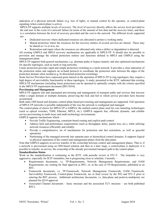indication of a physical network failure (e.g. loss of light), or manual control by the operator, or control-plane signaling (when control-plane is active).

MPLS-TP supports multiple levels of recovery. The level of recovery directly affects the service level provided to the end user in the event of a network failure (in terms of the amount of lost data and the recovery time), and there is a correlation between the level of recovery provided and the cost to the network. The different levels supported are-

- Dedicated recovery where dedicated resources are allocated to protect a working entity.
- Shared protection where the resources for the recovery entities of several services are shared. These may be shared as 1:n or m:n, etc.
- Restoration and repair where the resources are allocated only when a defect or degradation is detected.

All existing GMPLS and MPLS recovery mechanisms are applicable to MPLS-TP. It should also be possible to provision and manage the related protection entities and functions defined in MPLS and GMPLS using the management plane.

MPLS-TP supports both general mechanisms, e.g. alternate paths or bypass tunnels, and also optimized mechanisms for specific topologies, such as mesh or ring networks.

Linear protection provides rapid and simple protection switching in a mesh network. It provides a clear indication of the protection status and supports an in-band protocol to coordinate the protection state between the edges of the protection domain when needed (e.g. bi-directional protection switching).

Some Service Providers have expressed great interest in the operation of MPLS-TP in ring topologies; they require a high degree of survivability functionality in these topologies. A study, presented to the IETF, indicated that existing MPLS-TP mechanisms (including linear protection) can be operated to optimally comply with the criteria specified in the MPLS-TP requirement document [RFC5654].

#### **Provisioning and Management**

MPLS-TP supports fast and automated provisioning and management of transport paths and services that traverse either a single domain or multiple domains, preserving the look and feel to which service providers have become accustomed.

Both static OSS based and dynamic control-plane based provisioning and management are supported. Full operation of MPLS-TP networks is possible independent of the way the network is configured and managed.

The control-plane of choice for MPLS-TP is GMPLS, the unified control plane used for core tunneling technologies (such as optical switches, TDM, Ethernet, MPLS, etc.). GMPLS supports fast, efficient, dynamic, and reliable service provisioning in multi-layer and multi-technology environments.

GMPLS supports mechanisms which –

- Provide Traffic Engineering, constraint-based routing and explicit path control.
- Address QoS and performance requirements (such as throughput, delay, packet loss, etc.), while utilizing network resources efficiently and reliably.
- Provide a comprehensive set of mechanisms for protection and fast restoration, as well as graceful operations.
- Partitioning of the managed network into separate peer or hierarchical control domains. It supports logical or physical separation of the control and management planes from the data plane.

Note that GMPLS supports in-service transfer of the ownership between control and management planes. That is, if a network is provisioned using an OSS-based solution and then at a later stage, a control-plane is deployed, it is possible to transfer, in-service, the ownership of the already provisioned transport path to the control-plane.

#### **Standardization Status**

Work on the standardization is continuing in the IETF, with periodic review at ITU-T. The timetable is very aggressive, especially for IETF timetables, but is progressing close to schedule. Currently –

- Requirements documents, i.e. TP-Requirements, Network Management Requirements, and OAM Requirements, are waiting for final approval as RFC, or, in the case of TP-Requirements, published as an RFC.
- Framework documents, i.e. TP-Framework, Network Management Framework, OAM Framework, Survivability Framework, Control-plane Framework, are in final review by the WG and ITU-T prior to entering the RFC process. Additional architecture documents, i.e. data-plane and point-to-multipoint, are planned for Q310 approval.
- Associated Channel documents basic structure and the associated TLV structure are both published RFCs.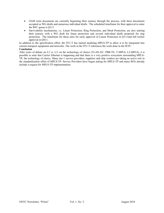- OAM tools documents are currently beginning their journey through the process, with three documents accepted as WG drafts and numerous individual drafts. The scheduled timeframe for their approval to enter the RFC queue is Q111.
- Survivability mechanisms, i.e. Linear Protection, Ring Protection, and Mesh Protection, are also starting their journey with a WG draft for linear protection and several individual drafts proposed for ring protection. The timeframe for these aims for early approval of Linear Protection in Q111and full toolset approval in Q411.

In addition to the specification effort, the ITU-T has started modeling MPLS-TP to allow it to be integrated into current transport equipment and networks. The work in the ITU-T references the work done in the IETF. **Conclusion**

After years of debate on L2 vs. L3, on the technology of choice (VLAN-XC, PBB-TE, T-MPLS, L2-MPLS), it is possible to state that Carrier Ethernet is happening and that there is a very positive ecosystem surrounding MPLS-TP, the technology of choice. Many tier-1 service providers, suppliers and chip vendors are taking an active role in the standardization effort of MPLS-TP. Service Providers have begun asking for MPLS-TP and many RFIs already include a request for MPLS-TP implementation.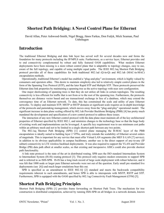### **Shortest Path Bridging: A Novel Control Plane for Ethernet**

David Allan, Peter Ashwood-Smith, Nigel Bragg, János Farkas, Don Fedyk, Mick Seaman, Paul Unbehagen

### **Introduction**

The traditional Ethernet Bridging and data link layer has served well for several decades now and forms the foundation for many protocols including the IP/MPLS suite. Furthermore, as a service layer, Ethernet provides end to end connectivity complemented by robust and fully featured OAM capabilities. What modern Ethernet deployments have been missing is a more robust control plane that is adaptable to topology changes, easy to use, aware of the full topology, and capable of using multiple equal paths. The IEEE 802.1aq Shortest Path Bridging protocol provides all of these capabilities for both traditional 802.1ad (Q-in-Q) and 802.1ah (MAC-in-MAC) encapsulation methods.

Operationally, traditional Ethernet's model has enabled a "plug-and-play" environment, which is highly valued by consumers and operators alike. This desire to maintain simplicity also led to relatively simple control planes in the form of the Spanning Tree Protocol (STP), and the later Rapid STP and Multiple STP. These protocols preserved the Ethernet data link properties by maintaining a spanning tree as the active topology with near zero configuration.

One major shortcoming of spanning trees is that they do not utilize all links in certain topologies. The resulting connectivity is less efficient for traffic that is not from or to the root of the spanning tree. Furthermore, the protocols themselves are distance vector based and use transactional exchange in lieu of a database, which may extend the convergence time of an Ethernet network. To date, this has constrained the scale and utility of pure Ethernet networks. To deploy and maintain STP, MSTP or RSTP domains at significant scale requires an in-depth knowledge of the protocols and painstaking management, which moves away from the "plug-and-play" operational model. The significant increase in data plane scaling offered by 802.1ah Provider Backbone Bridging (PBB) [\[4\]](#page-11-0) has pretty much mandated the development and specification of a new control protocol to address these issues.

The interaction of any new Ethernet control protocol with the data plane must maintain all of the key architectural properties of Ethernet specified by IEEE 802.1, and minimize changes to the technology base so that the huge body of existing work and implementations can be leveraged. A specific key requirement was to use minimum cost paths within an arbitrary mesh and not to be limited to a single shortest path between any two points.

The 802.1aq Shortest Path Bridging (SPB) [\[1\]](#page-11-1) control plane managing the B-MAC layer of the PBB encapsulation is ideally suited to building layer 2 VPNs, and truly extends the scalability of Ethernet several orders of magnitude. This is important for any service that must offer Virtual LAN segments (the MEF E-LAN [7] service); in addition to its obvious applicability in campus backbones, another use is the direct support of any-to-any (IP subnet) connectivity in LTE wireless backhaul deployments. It was also required to support the VLAN and Provider Bridge (PB) data path albeit at smaller scales, so that existing and inexpensive ASICs could also provide shortest path functionality.

A link state protocol is the state of the art in distributed routing. SPB uses the ISO standard Intermediate System to Intermediate System (IS-IS) routing protocol [\[3\].](#page-11-2) This protocol only requires modest extensions to support SPB and is referred to as ISIS-SPB. IS-IS has a long track record of large scale deployment with robust behavior, and it was felt that 1000 node or larger pure Ethernet networks were not out of the question. Early small pre-standard live deployments (see [\[6\]\)](#page-11-3) and much larger emulations bear this out.

SPB is specified as an amendment to IEEE 802.1Q [\[2\]](#page-11-4) standard and meets the backwards compatibility requirements inherent to such amendments, and hence SPB is able to interoperate with MSTP, RSTP and STP. Furthermore, SPB is equipped with the OAM specified by 802.1ag Connectivity Fault Management (CFM) [\[5\].](#page-11-5)

## **Shortest Path Bridging Principles**

Shortest Path Bridging (SPB) [\[1\]](#page-11-1) provides frame forwarding on Shortest Path Trees. The mechanism for tree construction is distributed computation, achieved by running ISIS-SPB on all bridges in a network domain, known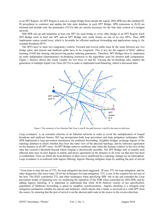as an SPT Region. An SPT Region is seen as a single bridge from outside the region. ISIS-SPB uses the standard IS-IS procedures to construct and update the link state database in each SPT Bridge. SPB extensions to IS-IS are minimal and include only the parameters (TLVs) that are strictly necessary for the link state control of a bridged network.

ISIS-SPB sets up and maintains at least one SPT for each bridge to every other bridge in an SPT Region. Each SPT Bridge roots at least one SPT and an SPT Bridge only sends frames on one of its own SPTs. Thus, SPB implements source rooted trees, which is favorable for efficient multicast forwarding and applications using it, for example broadcast IPTV.

The SPTs have to meet two congruency criteria. Forward and reverse paths must be the same between any two bridge pairs, and unicast and multicast paths have to be congruent. This is key for the support of MAC address learning, OAM fate sharing, and preserving packet ordering guarantees. Therefore, SPT Bridges have to implement an order independent (deterministic) tie-breaking extension to the algorithms used for shortest path computation. [Figure 1](#page-9-0) (below) shows this result visually for two trees (A and B). Varying the tie-breaking rules enables the generation of multiple Equal Cost Trees (ECTs) in order to implement load balancing, which is discussed later.



Figure 1 The symmetry of two Shortest Path Trees A and B: the path between A and B is the same in both trees

<span id="page-9-0"></span>Loop avoidance<sup>1</sup> is an essential criterion of an Ethernet network in order to avoid the multiplication of looped broadcast and multicast frames. 802.1aq incorporates both loop prevention and loop mitigation techniques. ISIS-SPB implements a loop prevention mechanism for multicast forwarding. Neighbor bridges exchange digests of the topology database to check whether they have the same view of the physical topology, and by inference agreement on the distance to all SPT roots. An SPT Bridge removes multicast state when the distance relative to the root of that state has crossed a threshold beyond which looping is theoretically possible. The SPT Bridge only re-installs such affected state once its peer digests re-match, and hence agreement on the distance to all roots via that peer has been re-established. Trees on which the local distance to their root is unaffected by a topology change see no interruption. Loop avoidance is re-enforced with ingress filtering. Ingress filtering mitigates loops by auditing the port of arrival

<sup>&</sup>lt;sup>1</sup> From time to time the use of TTL for loop mitigation has been suggested. IP uses TTL for loop mitigation, and for other diagnostics like trace route. Of all the techniques for loop mitigation, TTL is one of the simplest but not one of the best. The IEEE considered TTL and other techniques when specifying SPB but in the end extended the Loop prevention model of Spanning tree, by modifying the operation of the FDB when controlled by ISIS-SPB, and by adding Ingress checking. It is important to understand that while IS-IS behaves exactly as per specification, population of Multicast forwarding is gated by neighbor synchronization. Ingress checking is a stringent loop mitigation mechanism suitable for unicast and multicast which checks that a frame is received on a valid SPT from the source, by ensuring that the port of arrival is on the shortest path route to the source in the reverse direction.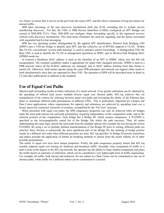of a frame, to ensure that it arrives on the port from the source SPT, and this allows relaxation of loop prevention for unicast traffic.

SPB takes advantage of the auto discovery mechanisms built into IS-IS, extending this to include service membership discovery. For this, the VIDs or PBB Service Identifiers (I-SIDs) configured on SPT Bridges are carried in ISIS-SPB TLVs. Thus, ISIS-SPB can configure frame forwarding specific to the registered services without extra discovery mechanisms. This innovation eliminates the need for signaling, and the delays associated with sequential hop-by-hop messaging,

SPB has two operating modes, distinguished by the applied SPT identification. Shortest Path Bridging VID (SPBV) uses a VID per bridge to identify each SPT, and this collective set of SPVIDs supports a VLAN. Within that VLAN, conventional "reverse path learning" is used to optimize unicast forwarding. A distinguished VID, the Base VID, is used to identify the VLAN in management operations in SPBV, and in Shortest Path Bridging MAC (SPBM) mode too.

In contrast a Backbone MAC address is used as the identifier of an SPT in SPBM, which uses the 802.1ah encapsulation. The resultant scalability makes it appropriate for larger fully managed networks. SPBM is used in a PBB network where all the B-MAC addresses are managed, and so MAC address learning from data frames is turned off. Otherwise, both modes operate along the same SPB principles and network can support either mode or both simultaneously since they are separated by Base VID. The operation of SPB will be described more in detail in [\[7\]](#page-11-6) and other publications in addition to the standard.

### **Use of Equal Cost Paths**

Shortest path forwarding results in better utilization of a mesh network. Even greater utilization can be obtained by the spreading of offered load across multiple diverse equal cost shortest paths. 802.1aq achieves this via manipulation of the criteria for selecting between equal cost paths and leveraging the ability of the Ethernet data plane to instantiate different path permutations in different VIDs. This is particularly important for Campus and Data Centre applications, where requirements for capacity and robustness are achieved by spreading load over a broad, massively connected, hierarchy of switches, exemplified by the "Fat Tree" structure.

When presented with equal cost paths, the SPB congruency properties can only be achieved when all bridges make the same path choices for each path permutation, requiring independence of the computation order, and of the network position of the computation. Each bridge has a Bridge ID, which ensures uniqueness. A PATHID is specified as the lexicographically sorted list of the Bridge IDs which the path traverses. Thus, all nodes implementing the same logic choose the same path from the multiple options (for example the one having the lowest PATHID). By using a set of globally defined transformations of the Bridge ID prior to sorting, different paths are selected. Since Priority is numerically the most significant part of the Bridge ID, the masking of bridge priority results in a different sort order when different priorities are used. 802.1aq specifies 16 Bridge ID priority transforms and makes possible the application of further tie breaking methods to choose from the nearly infinite set of other possible permutations.

The initial 16 equal cost trees have unique properties. Firstly, the path congruence property means that 802.1aq actually supports equal cost routing for multicast and broadcast traffic. Secondly, since assignment of traffic to a path is done at the ingress to the 802.1aq network, the operator has the ability to forgo random assignment and place the traffic based on estimates of utilization, which can be considered a very lightweight form of traffic engineering. For example, all traffic, both unicast and multicast, for one subnet in a Data Center can be constrained to one set of shortest paths, while traffic for a different subnet can be constrained to a second.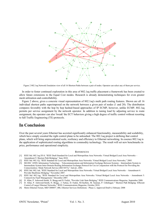

<span id="page-11-7"></span>Figure 2 802.1aq Network Emulation view of all 16 Shortest Paths between a pair of nodes. Operator can select any of them per service.

In order to foster continued exploration in this area of 802.1aq traffic placement a framework has been created to allow future extensions to the Equal Cost modes. Research is already demonstrating techniques for even greater mesh utilization and controllability.

[Figure 2](#page-11-7) above, gives a concrete visual representation of 802.1aq's multi path routing features. Shown are all 16 individual shortest paths superimposed on the network between a given pair of nodes (1 and 20). The distribution compares favorably with the hop by hop hashed-based approaches of IP ECMP, however, unlike ECMP, 802.1aq permits per service assignment by the network operator. In addition to tuning load by adjusting service to route assignment, the operator can also 'tweak' the ECT behaviors giving a high degree of traffic control without resorting to full Traffic Engineering (TE) protocols.

### **In Conclusion**

Over the past several years Ethernet has accreted significantly enhanced functionality, measurability and scalability, which have simply awaited the right control plane to be unleashed. The 802.1aq project is defining that control plane, which will bring unprecedented scale, resiliency and efficiency to Ethernet networking. In essence 802.1aq is the application of sophisticated routing algorithms to commodity technology. The result will set new benchmarks in price, performance and operational simplicity.

#### **REFERENCES**

- <span id="page-11-1"></span>[1] IEEE Std. 802.1aq D3.0, "IEEE Draft Standard for Local and Metropolitan Area Networks: Virtual Bridged Local Area Networks – Amendment 9: Shortest Path Bridging," June 2010.
- <span id="page-11-4"></span>[2] IEEE Std. 802.1Q, "IEEE Standard for Local and Metropolitan Area Networks: Virtual Bridged Local Area Networks," 2005.
- <span id="page-11-2"></span>[3] ISO/IEC 10589, Information Technology – Telecommunications and Information Exchange Between Systems – Intermediate System to Intermediate System Intra-Domain Routing Information Exchange Protocol for Use in Conjunction with the Protocol for Providing the Connectionless- Mode Network Service (ISO 8473)," 2nd ed., 2002.
- <span id="page-11-0"></span>[4] IEEE Std. 802.1ah, "IEEE Standard for Local and Metropolitan Area Networks: Virtual Bridged Local Area Networks – Amendment 6: Provider Backbone Bridging," November 2007.
- <span id="page-11-5"></span>[5] IEEE Std. 802.1ag, "IEEE Standard for Local and Metropolitan Area Networks: Virtual Bridged Local Area Networks – Amendment 5: Connectivity Fault Management," December 2007.
- <span id="page-11-3"></span>[6] D. Allan, P. Ashwood-Smith, N. Bragg and D. Fedyk, "Provider Link State Bridging," IEEE Communications Magazine, September 2008.
- <span id="page-11-6"></span>[7] D. Allan, P. Ashwood-Smith, N. Bragg , J. Farkas, D. Fedyk, M.Ouellete, M. Seaman, P. Unbehagen " Shortest Path Bridging: Efficient Control of Larger Ethernet Networks," IEEE Communications Magazine, October 2010.
- [8] Metro Ethernet Forum, MEF D00057\_006, Ethernet Services Definitions Phase 2, Approved Draft 6, February 2008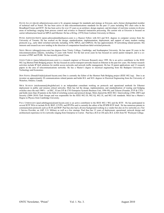DAVID ALLAN (david.i.allan@ericsson.com) is Sr. program manager for standards and strategy at Ericsson, and a former distinguished member of technical staff at Nortel. He has been active in data telecommunications standards for the past 15 years including WG chair roles in the Broadband Forum and IETF. He has been active for over 25 years as an architect, design engineer, and developer of real-time systems in diverse areas of technology ranging from process control and avionics to financial transaction processing. His current role at Ericsson is focused on carrier infrastructure based on MPLS and Ethernet. He has a B.Eng. (1978) from Carleton University in Ottawa.

PETER ASHWOOD-SMITH (peter.ashwoodsmith@huawei.com) is a Huawei Fellow with B.S and M.S. degrees in computer science from the University of Toronto. He has worked on the design, standardization, implementation, deployment, and support of many modern routing protocols (e.g., early label switched networks including ATM, MPLS, and GMPLS). He has approximately 30 networking related patents. His interests and research are now tending in the direction of computation-based/non-label-switched protocols.

NIGEL BRAGG (nbragg@ciena.com) has degrees from Trinity College, Cambridge, and Southampton University. He has spent 20 years in the telecommunications industry, including 13 years with Nortel. For the last seven years he has focused on carrier packet transport, and is a coinventor of PBT and PLSB. He has recently joined Ciena.

JÁNOS FARKAS (janos.farkas@ericsson.com) is a research engineer at Ericsson Research since 1999. He is an active contributor to the IEEE 802.1aq Shortest Path Bridging project. He has focused on carrier transport networks based on Ethernet in the past few years. His former research activities include IP QoS solutions for mobile access networks and network traffic management. He has 18 patent applications and 12 research papers in the area of telecommunications networks. He has a Master's degree in electrical engineering from the Budapest University of Technology and Economics

DON FEDYK (Donald.Fedyk@alcatel-lucent.com) Don is currently the Editor of the Shortest Path Bridging project (IEEE 802.1aq). Don is an inventor on approximately 20 communications related patents and holds B.S. and M.S. degrees in Electrical Engineering from the University of Waterloo, Ontario, Canada.

MICK SEAMAN (mickseaman@sbcglobal.net) is an independent consultant working on protocols and operational methods for Ethernet deployment in public and mission critical networks. Mick has led the design, implementation, and standardization of routing and bridging switches since the mid 1980's – at DEC, 3Com (VP & CTO Enterprise Systems Business Unit, 1996-99), and Telseon (Founder, EVP & CTO) – and holds more than 20 patents in the field of switching system and protocol design. Mick chaired the IEEE 802.1 Interworking (1986–2007) and Security (2004–2010) Task Groups and was responsible for the IEEE 802.1D, 802.1Q, 802.1X, and 802.1AE standards. Mick has a Master's Degree in Physics from Cambridge University.

PAUL UNBEHAGEN (paul.unbehagen@alcatel-lucent.com) is an active contributor to the IEEE 802.1 WG and the IETF. He has participated in several IETF WGs to include IS-IS, BGP, L2VPN, and IPVPNs and is currently the editor of the IP/SPB IETF draft. He has numerous patents in communication protocols such as IS-IS and BGP. Paul has also had a diverse background working in a vendor but also on live networks at a Tier 1 Service Provider, an ASP, U.S. Military as well as a few startups. Paul thus has 15 years of deployment, operational, network design and architectural experience in live networks ranging from Enterprise to Carrier. Paul has a B.S in CIS and a B.S. in BA from NC Wesleyan College.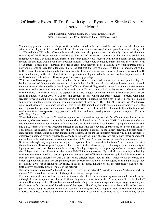# Offloading Excess IP Traffic with Optical Bypass – A Simple Capacity Upgrade, or More?

Mohit Chamania, Admela Jukan, TU Braunschweig, Germany Oscar Gonzales de Dios, Javier Jimenez Chico, Telefonica, Spain

The coming years are bound to a huge traffic growth expected in the metro and the backbone networks due to the widespread deployment of fixed and mobile broadband access networks coupled with growth in new services, such as HD and ultra HD video. Given this scenario, the network operators are considerably concerned about the scalability of the IP based network architectures. The cost of the network depends on the line rates used in the infrastructure, and a continuous data increase (and consequently cost) coupled with the traditional flat-rate pricing models for end-users would soon affect operator margins, which could eventually impact the end-users in the form of an Internet access prices increase. In order to drive down network costs, a dynamically reconfigurable optical network presents an excellent alternative due to the fact that the cost of optical switching is independent of the traffic rate of the transported signals. However, as optical technologies currently lack the flexibility provided by IP routers in handling traffic, it is clear that the next generation of high speed networks will not be all-optical and will, in all likelihood, will follow a "IP-over-optical" networking paradigm.

While various IP-over-optical architectures have been extensively studied in research, the real practice lags far behind. Instead of fancy multi-layer optimization solutions for IP networks, broadly addressed in the research community under the umbrella of Multi-layer Traffic and Network Engineering, network providers prefer extreme over-provisioning paradigms with up to 70% headroom in IP links. In a typical carrier network, whenever the IP traffic exceeds a nominal threshold, the capacity of IP links is upgraded so that the link utilization at peak network loads is limited to about 30%-40% of the link capacity or less. Given that traffic increases steadily with time, frequent network planning exercises (approx. every six months) upgrade the port sizes in the IP network to make it future-proof, and the granular nature of available capacities of these ports (1G , 10G , 40G) ensure that IP links have significant headroom. These practices are targeted to facilitate smooth and stable operation in networks, which is the core objective for operation in commercial networks. However, it is clear that the volume of traffic in the future will render traditional over-provisioning practices ineffective, and new paradigms are required to support IP traffic offloading of peak traffic.

When designing multi-layer traffic engineering and network engineering methods for efficient operation in carrier networks, what most research proposals do not consider is the existence of a legacy IP/MPLS infrastructure which is the fundamental enabler for almost all of the operator's services including fixed internet, triple play, mobile internet and L2/L3 corporate services. Frequent changes in the IP/MPLS topology and operation are not desired as they not only impact the schedule and frequency of network planning exercises in the legacy network, but also trigger significant reconfigurations in legacy management systems. These are the important reasons why IP link capacity is exclusively upgraded by simply added the capacity to the existing link. Other reasons are perhaps rather operational, and go back to the traditional organizational separation of "IP" and "transport networks" telco's business units.

So what is the right way to go when scaling up the capacity of the IP network in the future? In other words, what is the evolutionary "IP-over-optical" approach for excess IP traffic offloading, given the requirements on stability of legacy network systems?. To maintain the stability of the legacy system, we propose *optical bypasses* to be used in the IP layer which are hidden from the legacy IP/MPLS routing services. By optical, we mean any underlying transport technology capable of setting up circuits between a pair of IP routers based on optical WDM transmission, such as carrier grade Ethernet or OTN. Bypasses are different from "new IP links" which would be created in a virtual topology design and network planning phase, because they do not affect the legacy IP routing although they are dynamically setup to offload the IP traffic. In this architecture, dynamic circuits are temporarily used to bypass traffic across congested links or routers in the network.

But, how this can be realized? Where do we setup a bypass in the network? How do we simply "add a new port" on a router? We do not have answers to all the questions but we can speculate.

First and foremost, these optical circuits must ensure that the IP network routing remains stable, which means although they are setup and used by the IP flows, they are not advertised in the IP layer, and effectively "hidden" from the IP routing service. The packets redirected to these bypasses must not experience any change in routing, and should remain fully unaware of the existence of the bypass. Therefore, the bypass has to be established between a pair of routers along the original route. For instance if the original route of a packet flow is Frankfurt-Barcelona-Madrid, the bypass can be setup between Frankfurt and Madrid, so when the packets arrive in Madrid they remain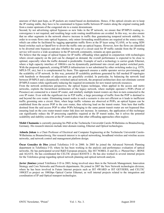unaware of their past hops, as IP packets are routed based on destinations. Hence, if the optical circuits are to keep the IP routing stable, they have to be constrained to bypass traffic between IP routers along the original routing path from a router upstream of the congested site to a router downstream.

Second, by not advertising optical bypasses as new links in the IP network, we ensure that IP/MPLS routing reconvergence is not required, and resulting large scale routing modifications are avoided. In this way, we also ensure that no other segments in the network observe increase in traffic thus guaranteeing temporal network stability. In order to re-route flows onto optical bypasses, only minor forwarding modifications are required at the source router, which can either be facilitated by tagging appropriate traffic flows at the IP layer using VLANS, or by using SDN based switches such as OpenFlow to divert the traffic onto an optical bypass. However, how the flows are identified to be diverted onto bypasses and also whether the setup of a circuit used for IP traffic outside from the IP routing service will receive a wide acceptance in the IP network community, remains an open question.

We believe that the usage of optical bypass for IP traffic offloading when applied in conjunction with technologies where circuit capacity on the port can be changed on demand, the overall performance is expected to be close to optimal, especially when the traffic demand is predictable. Example of such a technology is carrier-grade Ethernet, where a high capacity interface of 100Gb/s can be dynamically partitioned into circuit and packet switched ports. With the proposed approach, existing IP/MPLS infrastructure is not substituted by other switching nodes (e.g. OTN, MPLS-TP, etc), but it is complemented by them. This approach ensures a stable operator service provisioning and the scalability of IP network. In this way, potential IP scalability problems generated by full meshed IP topologies with hundreds or thousands of adjacencies are gracefully avoided. In particular, by balancing the network load between IP/MPLS and a dynamically switched optical network, the proposed architecture does not eliminate current IP/MPLS routers while significantly reducing the required investments for new transit network resources.

From the network architecture perspective, the optical bypass technique, when applied in the access and metro networks, exploits the hierarchical architecture of the legacy network, where multiple operator`s POPs (Point of Presence) are connected to a transit IP router, and similarly multiple transit routers are then in-turn connected to the core IP router. Even with the significant rise in P2P traffic, a large percentage of traffic from the POP is destined to and beyond the core router. Eliminating transit nodes in such a scenario is also not efficient as it leads to inefficient traffic grooming onto a circuit. Here, when large traffic volumes are observed at POPs, an optical bypass can be established from the access POP to the core router, thus relieving load on the transit router. Note here that traffic destined from the said access POP to other POPs belonging to the same parent transit router are not bypassed thus ensuring load on the core router-transit router link does not increase. In summary, the application of this technique can significantly reduce the IP processing capability required at the IP transit nodes, but it solves the potential scalability and stability concerns at the IP control plane that other offloading approaches often neglect.

**Mohit Chamania** is currently pursuing his PhD at the Technische Universität Carolo-Wilhelmina zu Braunschweig, Germany. His research interests include inter-domain routing, Ethernet and Optical technologies.

**Admela Jukan** is a Chair Professor of Electrical and Computer Engineering at the Technische Universität Carolo-Wilhelmina zu Braunschweig. Her research interest is in optical networking, broadband wireless and wireline access networks, and network control and management platform design.

**Óscar González de Dios** joined Telefónica I+D in 2000. In 2005 he joined the Advanced Network Planning department in Telefónica I+D, where he has been working in the analysis and performance evaluation of optical networks. He has participated several R&D European projects, like IST NOBEL (I and II), e- Photon/One+, BONE and AGAVE. He has coordinated the CELTIC project BANITS 2. He has also worked in several internal projects for the Telefonica group regarding optical network planning and optical network analysis.

**Javier Jiménez** joined Telefónica I+D in 2003, being involved since then in the Network Management, Innovation Strategy and Core Networks and Protocols departments. He joined in 2007 the New Network technologies division, where he has been involved in Future Internet projects such as IST 4WARD or IST GEYSERS, and CELTIC 100GET.es project on 100Gbps Optical Carrier Ethernet, as well internal projects related to the integration and coordination of IP and Optical transport technologies.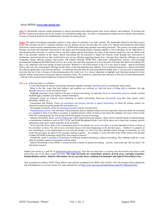#### About PRISM (*[www.ontc-prism.org](http://www.ontc-prism.org/)*)

**Aim**: To disseminate relevant content pertaining to optical networking and related growth areas across industry and academia. To promote the growth of optical networking activity by creation of a unified knowledge base. To create a communication bridge between industry and academia in terms of research frontiers and complementary strategies for future growth.

**Scope**: The optical networking community stands at a point where its potential is not fully realized. The bandwidth offered by the fiber at price points that currently prevail is a fantastic business case for Internet services for providers the world over. Optical networking has transcended itself from a point-to-point communication service to a WDM based multi-point granular networking hierarchy. This journey was made possible through successful and important innovations in the optics and networking domain, bringing together a rich technology set for deployment in telecommunication networks. It would be fair to say that without optical networking, the scope of the Internet would not reach its global scale that it has presently reached. In the future, optical networking has the potential to impact the telecom world through new innovations in architecture, protocol and devices that would lead to new service offerings impacting human lives. Amongst these futuristic offerings are cloud computing, energy efficient systems, data-centers, 100 Gigabit Ethernet, WDM PON, multi-point communication systems, sub-wavelength grooming and transparent ROADM-based services. It is clear, and especially pronounced in Asia and parts of Europe that optical networking will play a very important role in the design of future networks. Whether it is the GENI project in the US or the Akari in Japan – optical networking finds a clear way into technological offerings for the future of the telecommunication industry. From a historical perspective, optical networking has offered significantly to the telecom industry – we distinctly note that after the telecommunication bubble burst, it was the area of metropolitan networks that led to the re-bounce of telecommunications the world over. It is always important to highlight such historical perspectives from industry leaders and pioneers to bring the optical community closer. We continue to exploit the latest advances in this area of telecommunications – delving on the research and development of optical networking solutions.

The scope of the newsletter is as follows:

- A forum that brings the optical networking community together, through leadership articles in technology and research.
- Bring to the fore issues that both industry and academia are working on, with the focus of being able to minimize this gap through interaction via the newsletter forum.
- Highlight important events related to the area of optical networking, in particular focus on consortiums, projects, awards, seminal breakthroughs, standards and industry related information.
- Research: Focus on research issues pertaining to optical networking. Showcase key growth areas (like data centers, metro ROADMs, 100GE, etc.).
- Consortiums and Projects: Focus on consortiums and projects relevant to optical networking, in which the primary entities are research focused (non-profit groups like universities etc.)
- Developing Economies: Focus on emerging economies and the networks there.
- Standardization activity: The newsletter will periodically discuss standard related activities especially when new drafts are circulated or a standard in form of an MSA is accepted. A standard pioneer will be invited to write about the standard. Our focus will be on the IEEE 802 working group, the ITU groups and FSAN groups in terms of coverage.
- Industry information: latest *technical* happenings will be reported from the industry. These will be critically based on demonstrations at international tradeshows such as OFC, ECOC and World Broadband Forum. Care will be taken not to report any company specific information and ensure vendor neutrality in the newsletter.
- Service provider focus: Since a key consumption point of our industry are service providers, it is most important to focus a section of the newsletter on them. We will in every newsletter focus on the latest happenings in the provider space – whether it is adoption of new technologies or new deployments or even network designs, we will cover these through neutral writings. In particular, we will ensure that no names are taken in the coverage, making it generic – for example, "a select provider in the North America has decided to deploy ROADM technology using WSS cross-connects [source]..".
- Periodically create a roadmap of technologies in different domains pertaining to optical networking. The roadmap would be a team effort by multiple experts in association with the editor.
- Optical Networking is Fun (ONiF): a section devoted to humor in optical networking puzzles, crosswords and "did you know" for after-hours research.

Submit your article as a .pdf file to [submissions@ontc-prism.org.](mailto:submissions@ontc-prism.org) Note that you must have a covering note that descibes the nature of the article from one of the above scope keywords. **The scope keywords are: consortiums, projects, growth areas, emerging economies, Standardization activity, Industry information, Service provider focus, roadmap of technologies and Optical Networking is Fun.**

Note to prospective authors: ONTC Prism follows strict policies mandated by the IEEE Code of Ethics. We will strongly enforce plagiarism and self-plagiarism as a review criteria. For more information visi[t:http://www.ieee.org/web/publications/rights/ID\\_Plagiarism.html.](http://www.ieee.org/web/publications/rights/ID_Plagiarism.html)